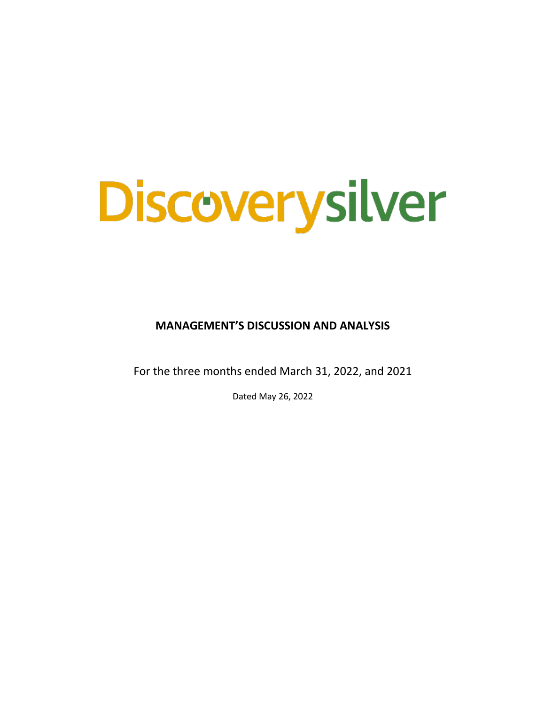# Discoverysilver

**MANAGEMENT'S DISCUSSION AND ANALYSIS**

For the three months ended March 31, 2022, and 2021

Dated May 26, 2022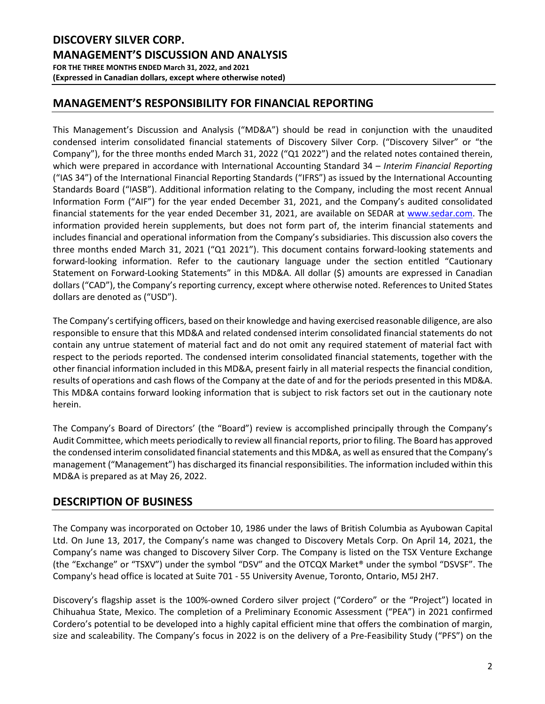# **MANAGEMENT'S RESPONSIBILITY FOR FINANCIAL REPORTING**

This Management's Discussion and Analysis ("MD&A") should be read in conjunction with the unaudited condensed interim consolidated financial statements of Discovery Silver Corp. ("Discovery Silver" or "the Company"), for the three months ended March 31, 2022 ("Q1 2022") and the related notes contained therein, which were prepared in accordance with International Accounting Standard 34 – *Interim Financial Reporting* ("IAS 34") of the International Financial Reporting Standards ("IFRS") as issued by the International Accounting Standards Board ("IASB"). Additional information relating to the Company, including the most recent Annual Information Form ("AIF") for the year ended December 31, 2021, and the Company's audited consolidated financial statements for the year ended December 31, 2021, are available on SEDAR at [www.sedar.com.](http://www.sedar.com/) The information provided herein supplements, but does not form part of, the interim financial statements and includes financial and operational information from the Company's subsidiaries. This discussion also covers the three months ended March 31, 2021 ("Q1 2021"). This document contains forward-looking statements and forward-looking information. Refer to the cautionary language under the section entitled "Cautionary Statement on Forward-Looking Statements" in this MD&A. All dollar (\$) amounts are expressed in Canadian dollars ("CAD"), the Company's reporting currency, except where otherwise noted. References to United States dollars are denoted as ("USD").

The Company's certifying officers, based on their knowledge and having exercised reasonable diligence, are also responsible to ensure that this MD&A and related condensed interim consolidated financial statements do not contain any untrue statement of material fact and do not omit any required statement of material fact with respect to the periods reported. The condensed interim consolidated financial statements, together with the other financial information included in this MD&A, present fairly in all material respects the financial condition, results of operations and cash flows of the Company at the date of and for the periods presented in this MD&A. This MD&A contains forward looking information that is subject to risk factors set out in the cautionary note herein.

The Company's Board of Directors' (the "Board") review is accomplished principally through the Company's Audit Committee, which meets periodically to review all financial reports, prior to filing. The Board has approved the condensed interim consolidated financial statements and this MD&A, as well as ensured that the Company's management ("Management") has discharged its financial responsibilities. The information included within this MD&A is prepared as at May 26, 2022.

# **DESCRIPTION OF BUSINESS**

The Company was incorporated on October 10, 1986 under the laws of British Columbia as Ayubowan Capital Ltd. On June 13, 2017, the Company's name was changed to Discovery Metals Corp. On April 14, 2021, the Company's name was changed to Discovery Silver Corp. The Company is listed on the TSX Venture Exchange (the "Exchange" or "TSXV") under the symbol "DSV" and the OTCQX Market® under the symbol "DSVSF". The Company's head office is located at Suite 701 - 55 University Avenue, Toronto, Ontario, M5J 2H7.

Discovery's flagship asset is the 100%-owned Cordero silver project ("Cordero" or the "Project") located in Chihuahua State, Mexico. The completion of a Preliminary Economic Assessment ("PEA") in 2021 confirmed Cordero's potential to be developed into a highly capital efficient mine that offers the combination of margin, size and scaleability. The Company's focus in 2022 is on the delivery of a Pre-Feasibility Study ("PFS") on the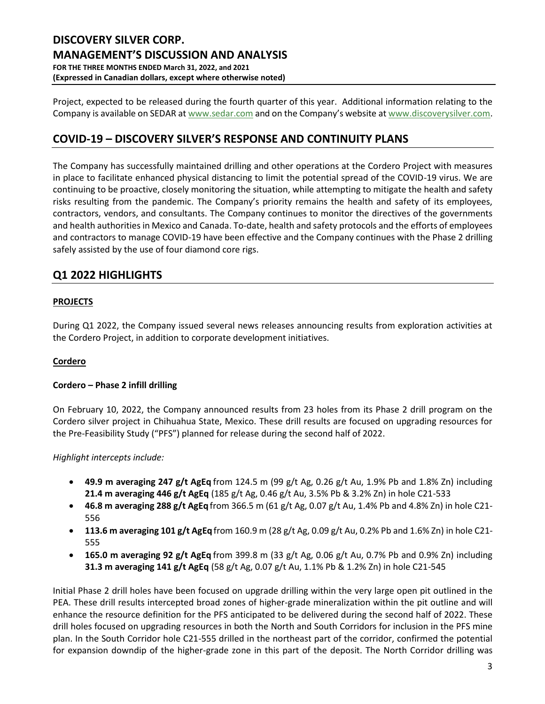Project, expected to be released during the fourth quarter of this year. Additional information relating to the Company is available on SEDAR a[t www.sedar.com](http://www.sedar.com/) and on the Company's website at [www.discoverysilver.com.](http://www.discoverysilver.com/)

# **COVID-19 – DISCOVERY SILVER'S RESPONSE AND CONTINUITY PLANS**

The Company has successfully maintained drilling and other operations at the Cordero Project with measures in place to facilitate enhanced physical distancing to limit the potential spread of the COVID-19 virus. We are continuing to be proactive, closely monitoring the situation, while attempting to mitigate the health and safety risks resulting from the pandemic. The Company's priority remains the health and safety of its employees, contractors, vendors, and consultants. The Company continues to monitor the directives of the governments and health authorities in Mexico and Canada. To-date, health and safety protocols and the efforts of employees and contractors to manage COVID-19 have been effective and the Company continues with the Phase 2 drilling safely assisted by the use of four diamond core rigs.

# **Q1 2022 HIGHLIGHTS**

# **PROJECTS**

During Q1 2022, the Company issued several news releases announcing results from exploration activities at the Cordero Project, in addition to corporate development initiatives.

# **Cordero**

# **Cordero – Phase 2 infill drilling**

On February 10, 2022, the Company announced results from 23 holes from its Phase 2 drill program on the Cordero silver project in Chihuahua State, Mexico. These drill results are focused on upgrading resources for the Pre-Feasibility Study ("PFS") planned for release during the second half of 2022.

*Highlight intercepts include:*

- **49.9 m averaging 247 g/t AgEq** from 124.5 m (99 g/t Ag, 0.26 g/t Au, 1.9% Pb and 1.8% Zn) including **21.4 m averaging 446 g/t AgEq** (185 g/t Ag, 0.46 g/t Au, 3.5% Pb & 3.2% Zn) in hole C21-533
- **46.8 m averaging 288 g/t AgEq** from 366.5 m (61 g/t Ag, 0.07 g/t Au, 1.4% Pb and 4.8% Zn) in hole C21- 556
- **113.6 m averaging 101 g/t AgEq**from 160.9 m (28 g/t Ag, 0.09 g/t Au, 0.2% Pb and 1.6% Zn) in hole C21- 555
- **165.0 m averaging 92 g/t AgEq** from 399.8 m (33 g/t Ag, 0.06 g/t Au, 0.7% Pb and 0.9% Zn) including **31.3 m averaging 141 g/t AgEq** (58 g/t Ag, 0.07 g/t Au, 1.1% Pb & 1.2% Zn) in hole C21-545

Initial Phase 2 drill holes have been focused on upgrade drilling within the very large open pit outlined in the PEA. These drill results intercepted broad zones of higher-grade mineralization within the pit outline and will enhance the resource definition for the PFS anticipated to be delivered during the second half of 2022. These drill holes focused on upgrading resources in both the North and South Corridors for inclusion in the PFS mine plan. In the South Corridor hole C21-555 drilled in the northeast part of the corridor, confirmed the potential for expansion downdip of the higher-grade zone in this part of the deposit. The North Corridor drilling was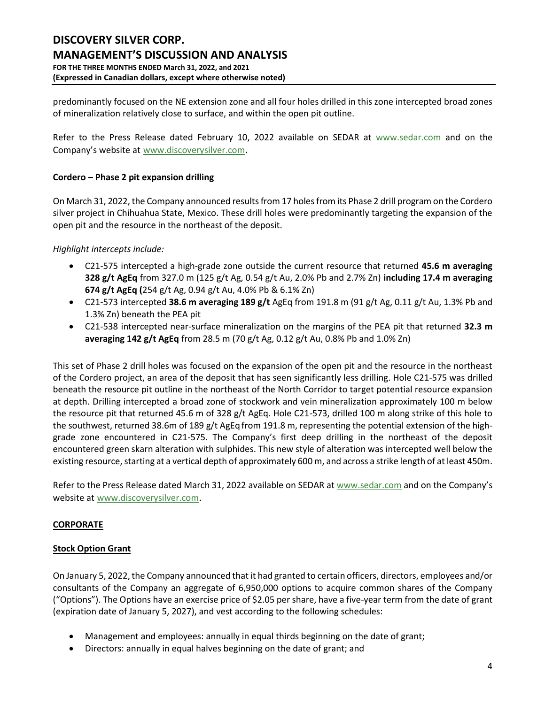predominantly focused on the NE extension zone and all four holes drilled in this zone intercepted broad zones of mineralization relatively close to surface, and within the open pit outline.

Refer to the Press Release dated February 10, 2022 available on SEDAR at [www.sedar.com](http://www.sedar.com/) and on the Company's website at [www.discoverysilver.com](http://www.discoverysilver.com/).

# **Cordero – Phase 2 pit expansion drilling**

On March 31, 2022, the Company announced results from 17 holes from its Phase 2 drill program on the Cordero silver project in Chihuahua State, Mexico. These drill holes were predominantly targeting the expansion of the open pit and the resource in the northeast of the deposit.

# *Highlight intercepts include:*

- C21-575 intercepted a high-grade zone outside the current resource that returned **45.6 m averaging 328 g/t AgEq** from 327.0 m (125 g/t Ag, 0.54 g/t Au, 2.0% Pb and 2.7% Zn) **including 17.4 m averaging 674 g/t AgEq (**254 g/t Ag, 0.94 g/t Au, 4.0% Pb & 6.1% Zn)
- C21-573 intercepted **38.6 m averaging 189 g/t** AgEq from 191.8 m (91 g/t Ag, 0.11 g/t Au, 1.3% Pb and 1.3% Zn) beneath the PEA pit
- C21-538 intercepted near-surface mineralization on the margins of the PEA pit that returned **32.3 m averaging 142 g/t AgEq** from 28.5 m (70 g/t Ag, 0.12 g/t Au, 0.8% Pb and 1.0% Zn)

This set of Phase 2 drill holes was focused on the expansion of the open pit and the resource in the northeast of the Cordero project, an area of the deposit that has seen significantly less drilling. Hole C21-575 was drilled beneath the resource pit outline in the northeast of the North Corridor to target potential resource expansion at depth. Drilling intercepted a broad zone of stockwork and vein mineralization approximately 100 m below the resource pit that returned 45.6 m of 328 g/t AgEq. Hole C21-573, drilled 100 m along strike of this hole to the southwest, returned 38.6m of 189 g/t AgEq from 191.8 m, representing the potential extension of the highgrade zone encountered in C21-575. The Company's first deep drilling in the northeast of the deposit encountered green skarn alteration with sulphides. This new style of alteration was intercepted well below the existing resource, starting at a vertical depth of approximately 600 m, and across a strike length of at least 450m.

Refer to the Press Release dated March 31, 2022 available on SEDAR at [www.sedar.com](http://www.sedar.com/) and on the Company's website at [www.discoverysilver.com](http://www.discoverysilver.com/).

# **CORPORATE**

# **Stock Option Grant**

On January 5, 2022, the Company announced that it had granted to certain officers, directors, employees and/or consultants of the Company an aggregate of 6,950,000 options to acquire common shares of the Company ("Options"). The Options have an exercise price of \$2.05 per share, have a five-year term from the date of grant (expiration date of January 5, 2027), and vest according to the following schedules:

- Management and employees: annually in equal thirds beginning on the date of grant;
- Directors: annually in equal halves beginning on the date of grant; and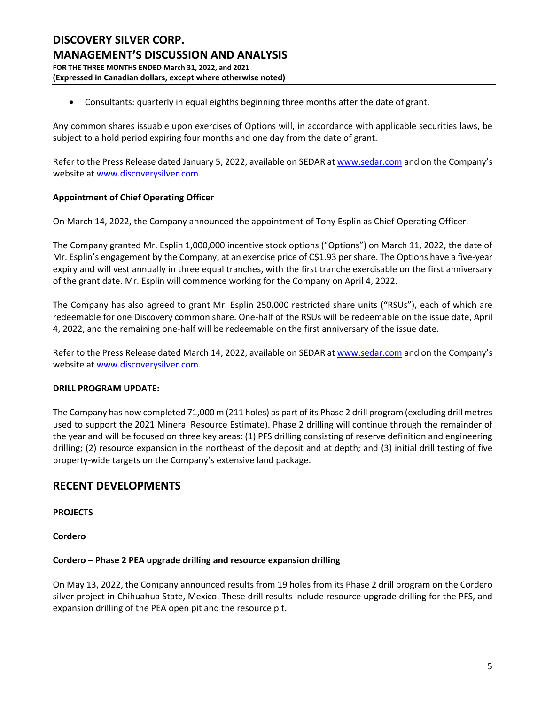• Consultants: quarterly in equal eighths beginning three months after the date of grant.

Any common shares issuable upon exercises of Options will, in accordance with applicable securities laws, be subject to a hold period expiring four months and one day from the date of grant.

Refer to the Press Release dated January 5, 2022, available on SEDAR at [www.sedar.com](http://www.sedar.com/) and on the Company's website at [www.discoverysilver.com.](http://www.discoverysilver.com/)

# **Appointment of Chief Operating Officer**

On March 14, 2022, the Company announced the appointment of Tony Esplin as Chief Operating Officer.

The Company granted Mr. Esplin 1,000,000 incentive stock options ("Options") on March 11, 2022, the date of Mr. Esplin's engagement by the Company, at an exercise price of C\$1.93 per share. The Options have a five-year expiry and will vest annually in three equal tranches, with the first tranche exercisable on the first anniversary of the grant date. Mr. Esplin will commence working for the Company on April 4, 2022.

The Company has also agreed to grant Mr. Esplin 250,000 restricted share units ("RSUs"), each of which are redeemable for one Discovery common share. One-half of the RSUs will be redeemable on the issue date, April 4, 2022, and the remaining one-half will be redeemable on the first anniversary of the issue date.

Refer to the Press Release dated March 14, 2022, available on SEDAR at [www.sedar.com](http://www.sedar.com/) and on the Company's website at [www.discoverysilver.com.](http://www.discoverysilver.com/)

# **DRILL PROGRAM UPDATE:**

The Company has now completed 71,000 m (211 holes) as part of its Phase 2 drill program (excluding drill metres used to support the 2021 Mineral Resource Estimate). Phase 2 drilling will continue through the remainder of the year and will be focused on three key areas: (1) PFS drilling consisting of reserve definition and engineering drilling; (2) resource expansion in the northeast of the deposit and at depth; and (3) initial drill testing of five property-wide targets on the Company's extensive land package.

# **RECENT DEVELOPMENTS**

# **PROJECTS**

# **Cordero**

# **Cordero – Phase 2 PEA upgrade drilling and resource expansion drilling**

On May 13, 2022, the Company announced results from 19 holes from its Phase 2 drill program on the Cordero silver project in Chihuahua State, Mexico. These drill results include resource upgrade drilling for the PFS, and expansion drilling of the PEA open pit and the resource pit.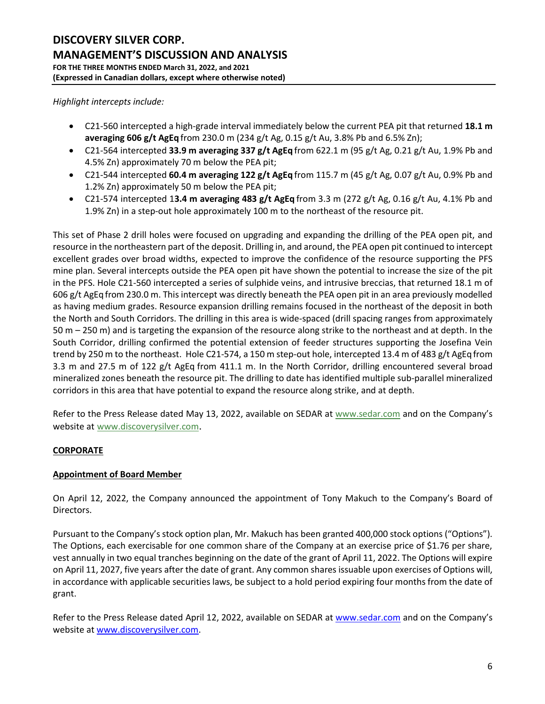*Highlight intercepts include:*

- C21-560 intercepted a high-grade interval immediately below the current PEA pit that returned **18.1 m averaging 606 g/t AgEq** from 230.0 m (234 g/t Ag, 0.15 g/t Au, 3.8% Pb and 6.5% Zn);
- C21-564 intercepted **33.9 m averaging 337 g/t AgEq** from 622.1 m (95 g/t Ag, 0.21 g/t Au, 1.9% Pb and 4.5% Zn) approximately 70 m below the PEA pit;
- C21-544 intercepted **60.4 m averaging 122 g/t AgEq** from 115.7 m (45 g/t Ag, 0.07 g/t Au, 0.9% Pb and 1.2% Zn) approximately 50 m below the PEA pit;
- C21-574 intercepted 1**3.4 m averaging 483 g/t AgEq** from 3.3 m (272 g/t Ag, 0.16 g/t Au, 4.1% Pb and 1.9% Zn) in a step-out hole approximately 100 m to the northeast of the resource pit.

This set of Phase 2 drill holes were focused on upgrading and expanding the drilling of the PEA open pit, and resource in the northeastern part of the deposit. Drilling in, and around, the PEA open pit continued to intercept excellent grades over broad widths, expected to improve the confidence of the resource supporting the PFS mine plan. Several intercepts outside the PEA open pit have shown the potential to increase the size of the pit in the PFS. Hole C21-560 intercepted a series of sulphide veins, and intrusive breccias, that returned 18.1 m of 606 g/t AgEq from 230.0 m. This intercept was directly beneath the PEA open pit in an area previously modelled as having medium grades. Resource expansion drilling remains focused in the northeast of the deposit in both the North and South Corridors. The drilling in this area is wide-spaced (drill spacing ranges from approximately 50 m – 250 m) and is targeting the expansion of the resource along strike to the northeast and at depth. In the South Corridor, drilling confirmed the potential extension of feeder structures supporting the Josefina Vein trend by 250 m to the northeast. Hole C21-574, a 150 m step-out hole, intercepted 13.4 m of 483 g/t AgEqfrom 3.3 m and 27.5 m of 122 g/t AgEq from 411.1 m. In the North Corridor, drilling encountered several broad mineralized zones beneath the resource pit. The drilling to date has identified multiple sub-parallel mineralized corridors in this area that have potential to expand the resource along strike, and at depth.

Refer to the Press Release dated May 13, 2022, available on SEDAR at [www.sedar.com](http://www.sedar.com/) and on the Company's website at [www.discoverysilver.com](http://www.discoverysilver.com/).

# **CORPORATE**

# **Appointment of Board Member**

On April 12, 2022, the Company announced the appointment of Tony Makuch to the Company's Board of Directors.

Pursuant to the Company's stock option plan, Mr. Makuch has been granted 400,000 stock options ("Options"). The Options, each exercisable for one common share of the Company at an exercise price of \$1.76 per share, vest annually in two equal tranches beginning on the date of the grant of April 11, 2022. The Options will expire on April 11, 2027, five years after the date of grant. Any common shares issuable upon exercises of Options will, in accordance with applicable securities laws, be subject to a hold period expiring four months from the date of grant.

Refer to the Press Release dated April 12, 2022, available on SEDAR at [www.sedar.com](http://www.sedar.com/) and on the Company's website at [www.discoverysilver.com.](http://www.discoverysilver.com/)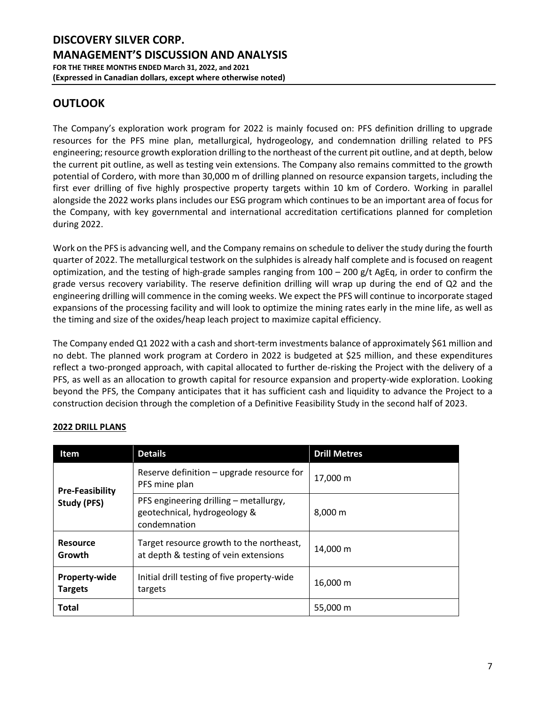# **OUTLOOK**

The Company's exploration work program for 2022 is mainly focused on: PFS definition drilling to upgrade resources for the PFS mine plan, metallurgical, hydrogeology, and condemnation drilling related to PFS engineering; resource growth exploration drilling to the northeast of the current pit outline, and at depth, below the current pit outline, as well as testing vein extensions. The Company also remains committed to the growth potential of Cordero, with more than 30,000 m of drilling planned on resource expansion targets, including the first ever drilling of five highly prospective property targets within 10 km of Cordero. Working in parallel alongside the 2022 works plans includes our ESG program which continues to be an important area of focus for the Company, with key governmental and international accreditation certifications planned for completion during 2022.

Work on the PFS is advancing well, and the Company remains on schedule to deliver the study during the fourth quarter of 2022. The metallurgical testwork on the sulphides is already half complete and is focused on reagent optimization, and the testing of high-grade samples ranging from  $100 - 200$  g/t AgEq, in order to confirm the grade versus recovery variability. The reserve definition drilling will wrap up during the end of Q2 and the engineering drilling will commence in the coming weeks. We expect the PFS will continue to incorporate staged expansions of the processing facility and will look to optimize the mining rates early in the mine life, as well as the timing and size of the oxides/heap leach project to maximize capital efficiency.

The Company ended Q1 2022 with a cash and short-term investments balance of approximately \$61 million and no debt. The planned work program at Cordero in 2022 is budgeted at \$25 million, and these expenditures reflect a two-pronged approach, with capital allocated to further de-risking the Project with the delivery of a PFS, as well as an allocation to growth capital for resource expansion and property-wide exploration. Looking beyond the PFS, the Company anticipates that it has sufficient cash and liquidity to advance the Project to a construction decision through the completion of a Definitive Feasibility Study in the second half of 2023.

| <b>Item</b>                            | <b>Details</b>                                                                         | <b>Drill Metres</b> |
|----------------------------------------|----------------------------------------------------------------------------------------|---------------------|
| <b>Pre-Feasibility</b><br>Study (PFS)  | Reserve definition - upgrade resource for<br>PFS mine plan                             | 17.000 m            |
|                                        | PFS engineering drilling - metallurgy,<br>geotechnical, hydrogeology &<br>condemnation | 8,000 m             |
| <b>Resource</b><br>Growth              | Target resource growth to the northeast,<br>at depth & testing of vein extensions      | 14,000 m            |
| <b>Property-wide</b><br><b>Targets</b> | Initial drill testing of five property-wide<br>targets                                 | 16,000 m            |
| Total                                  |                                                                                        | 55,000 m            |

# **2022 DRILL PLANS**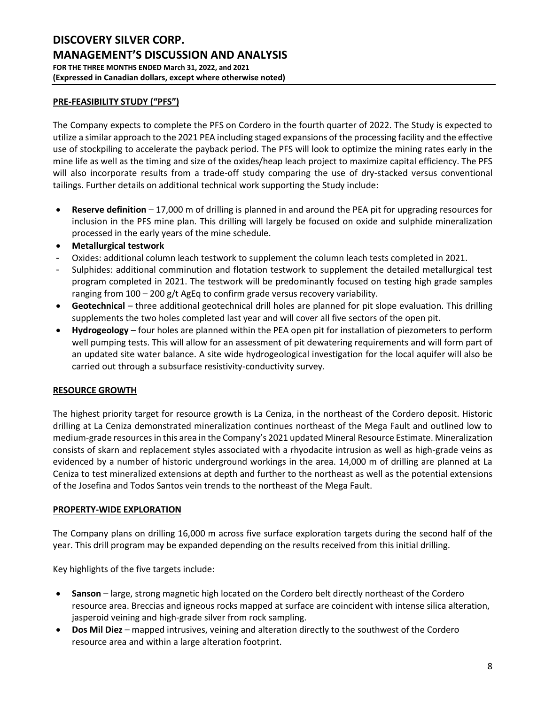# **PRE-FEASIBILITY STUDY ("PFS")**

The Company expects to complete the PFS on Cordero in the fourth quarter of 2022. The Study is expected to utilize a similar approach to the 2021 PEA including staged expansions of the processing facility and the effective use of stockpiling to accelerate the payback period. The PFS will look to optimize the mining rates early in the mine life as well as the timing and size of the oxides/heap leach project to maximize capital efficiency. The PFS will also incorporate results from a trade-off study comparing the use of dry-stacked versus conventional tailings. Further details on additional technical work supporting the Study include:

- **Reserve definition**  17,000 m of drilling is planned in and around the PEA pit for upgrading resources for inclusion in the PFS mine plan. This drilling will largely be focused on oxide and sulphide mineralization processed in the early years of the mine schedule.
- **Metallurgical testwork**
- Oxides: additional column leach testwork to supplement the column leach tests completed in 2021.
- Sulphides: additional comminution and flotation testwork to supplement the detailed metallurgical test program completed in 2021. The testwork will be predominantly focused on testing high grade samples ranging from 100 – 200 g/t AgEq to confirm grade versus recovery variability.
- **Geotechnical**  three additional geotechnical drill holes are planned for pit slope evaluation. This drilling supplements the two holes completed last year and will cover all five sectors of the open pit.
- **Hydrogeology**  four holes are planned within the PEA open pit for installation of piezometers to perform well pumping tests. This will allow for an assessment of pit dewatering requirements and will form part of an updated site water balance. A site wide hydrogeological investigation for the local aquifer will also be carried out through a subsurface resistivity-conductivity survey.

# **RESOURCE GROWTH**

The highest priority target for resource growth is La Ceniza, in the northeast of the Cordero deposit. Historic drilling at La Ceniza demonstrated mineralization continues northeast of the Mega Fault and outlined low to medium-grade resources in this area in the Company's 2021 updated Mineral Resource Estimate. Mineralization consists of skarn and replacement styles associated with a rhyodacite intrusion as well as high-grade veins as evidenced by a number of historic underground workings in the area. 14,000 m of drilling are planned at La Ceniza to test mineralized extensions at depth and further to the northeast as well as the potential extensions of the Josefina and Todos Santos vein trends to the northeast of the Mega Fault.

# **PROPERTY-WIDE EXPLORATION**

The Company plans on drilling 16,000 m across five surface exploration targets during the second half of the year. This drill program may be expanded depending on the results received from this initial drilling.

Key highlights of the five targets include:

- **Sanson** large, strong magnetic high located on the Cordero belt directly northeast of the Cordero resource area. Breccias and igneous rocks mapped at surface are coincident with intense silica alteration, jasperoid veining and high-grade silver from rock sampling.
- **Dos Mil Diez**  mapped intrusives, veining and alteration directly to the southwest of the Cordero resource area and within a large alteration footprint.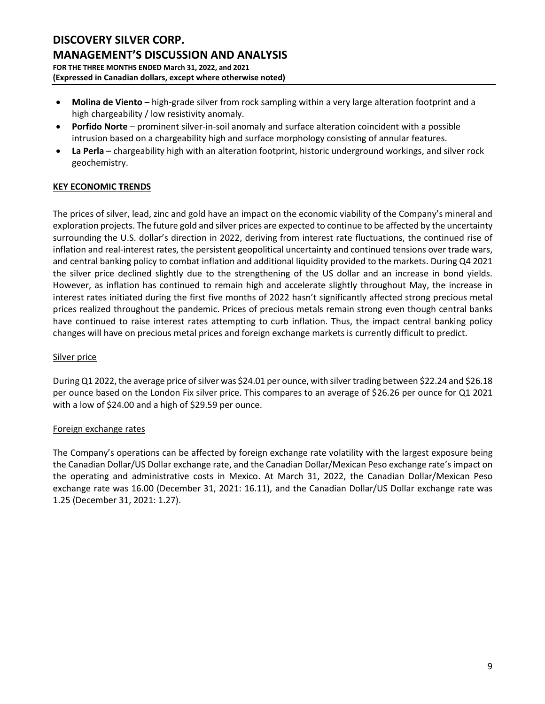- **Molina de Viento**  high-grade silver from rock sampling within a very large alteration footprint and a high chargeability / low resistivity anomaly.
- **Porfido Norte**  prominent silver-in-soil anomaly and surface alteration coincident with a possible intrusion based on a chargeability high and surface morphology consisting of annular features.
- **La Perla**  chargeability high with an alteration footprint, historic underground workings, and silver rock geochemistry.

# **KEY ECONOMIC TRENDS**

The prices of silver, lead, zinc and gold have an impact on the economic viability of the Company's mineral and exploration projects. The future gold and silver prices are expected to continue to be affected by the uncertainty surrounding the U.S. dollar's direction in 2022, deriving from interest rate fluctuations, the continued rise of inflation and real-interest rates, the persistent geopolitical uncertainty and continued tensions over trade wars, and central banking policy to combat inflation and additional liquidity provided to the markets. During Q4 2021 the silver price declined slightly due to the strengthening of the US dollar and an increase in bond yields. However, as inflation has continued to remain high and accelerate slightly throughout May, the increase in interest rates initiated during the first five months of 2022 hasn't significantly affected strong precious metal prices realized throughout the pandemic. Prices of precious metals remain strong even though central banks have continued to raise interest rates attempting to curb inflation. Thus, the impact central banking policy changes will have on precious metal prices and foreign exchange markets is currently difficult to predict.

# Silver price

During Q1 2022, the average price of silver was \$24.01 per ounce, with silver trading between \$22.24 and \$26.18 per ounce based on the London Fix silver price. This compares to an average of \$26.26 per ounce for Q1 2021 with a low of \$24.00 and a high of \$29.59 per ounce.

# Foreign exchange rates

The Company's operations can be affected by foreign exchange rate volatility with the largest exposure being the Canadian Dollar/US Dollar exchange rate, and the Canadian Dollar/Mexican Peso exchange rate's impact on the operating and administrative costs in Mexico. At March 31, 2022, the Canadian Dollar/Mexican Peso exchange rate was 16.00 (December 31, 2021: 16.11), and the Canadian Dollar/US Dollar exchange rate was 1.25 (December 31, 2021: 1.27).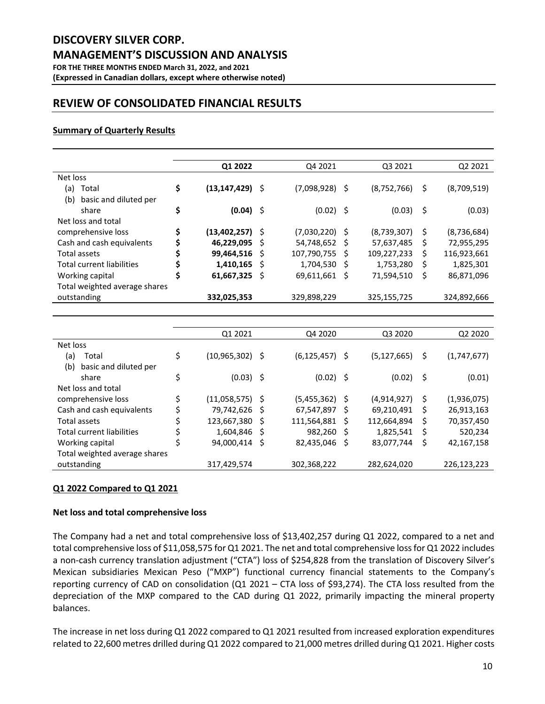#### **(Expressed in Canadian dollars, except where otherwise noted)**

# **REVIEW OF CONSOLIDATED FINANCIAL RESULTS**

# **Summary of Quarterly Results**

|                                  | Q1 2022              |     | Q4 2021          |      | Q3 2021     |    | Q <sub>2</sub> 2021 |
|----------------------------------|----------------------|-----|------------------|------|-------------|----|---------------------|
| Net loss                         |                      |     |                  |      |             |    |                     |
| Total<br>(a)                     | \$<br>(13,147,429)   | - S | $(7,098,928)$ \$ |      | (8,752,766) | S  | (8,709,519)         |
| basic and diluted per<br>(b)     |                      |     |                  |      |             |    |                     |
| share                            | \$<br>(0.04)         | -\$ | $(0.02)$ \$      |      | (0.03)      | -S | (0.03)              |
| Net loss and total               |                      |     |                  |      |             |    |                     |
| comprehensive loss               | \$<br>(13, 402, 257) | \$  | $(7,030,220)$ \$ |      | (8,739,307) | \$ | (8,736,684)         |
| Cash and cash equivalents        | 46,229,095           | Ś   | 54,748,652       | - S  | 57,637,485  | Ś  | 72,955,295          |
| Total assets                     | 99,464,516           | S   | 107,790,755      | - S  | 109,227,233 | S  | 116,923,661         |
| <b>Total current liabilities</b> | 1,410,165            | S   | 1,704,530        | - S  | 1,753,280   | S  | 1,825,301           |
| Working capital                  | 61,667,325           | S   | 69,611,661       | - \$ | 71,594,510  | S  | 86,871,096          |
| Total weighted average shares    |                      |     |                  |      |             |    |                     |
| outstanding                      | 332,025,353          |     | 329,898,229      |      | 325,155,725 |    | 324,892,666         |
|                                  |                      |     |                  |      |             |    |                     |
|                                  |                      |     |                  |      |             |    |                     |

|                                  | Q1 2021            |     | Q4 2020            |      | Q3 2020       |     | Q <sub>2</sub> 20 <sub>20</sub> |
|----------------------------------|--------------------|-----|--------------------|------|---------------|-----|---------------------------------|
| Net loss                         |                    |     |                    |      |               |     |                                 |
| Total<br>(a)                     | \$<br>(10,965,302) | \$  | $(6, 125, 457)$ \$ |      | (5, 127, 665) | S   | (1,747,677)                     |
| (b)<br>basic and diluted per     |                    |     |                    |      |               |     |                                 |
| share                            | \$<br>(0.03)       | -\$ | $(0.02)$ \$        |      | (0.02)        | \$. | (0.01)                          |
| Net loss and total               |                    |     |                    |      |               |     |                                 |
| comprehensive loss               | (11,058,575)       | S   | (5,455,362)        | - \$ | (4,914,927)   | S   | (1,936,075)                     |
| Cash and cash equivalents        | 79,742,626         | S   | 67,547,897         | - S  | 69,210,491    | S   | 26,913,163                      |
| Total assets                     | 123,667,380        | S   | 111,564,881        | - S  | 112,664,894   | s   | 70,357,450                      |
| <b>Total current liabilities</b> | 1,604,846          | S   | 982,260            | - S  | 1,825,541     | S   | 520,234                         |
| Working capital                  | 94,000,414         | \$  | 82,435,046         | - S  | 83,077,744    | S   | 42,167,158                      |
| Total weighted average shares    |                    |     |                    |      |               |     |                                 |
| outstanding                      | 317,429,574        |     | 302,368,222        |      | 282,624,020   |     | 226,123,223                     |

# **Q1 2022 Compared to Q1 2021**

# **Net loss and total comprehensive loss**

The Company had a net and total comprehensive loss of \$13,402,257 during Q1 2022, compared to a net and total comprehensive loss of \$11,058,575 for Q1 2021. The net and total comprehensive loss for Q1 2022 includes a non-cash currency translation adjustment ("CTA") loss of \$254,828 from the translation of Discovery Silver's Mexican subsidiaries Mexican Peso ("MXP") functional currency financial statements to the Company's reporting currency of CAD on consolidation (Q1 2021 – CTA loss of \$93,274). The CTA loss resulted from the depreciation of the MXP compared to the CAD during Q1 2022, primarily impacting the mineral property balances.

The increase in net loss during Q1 2022 compared to Q1 2021 resulted from increased exploration expenditures related to 22,600 metres drilled during Q1 2022 compared to 21,000 metres drilled during Q1 2021. Higher costs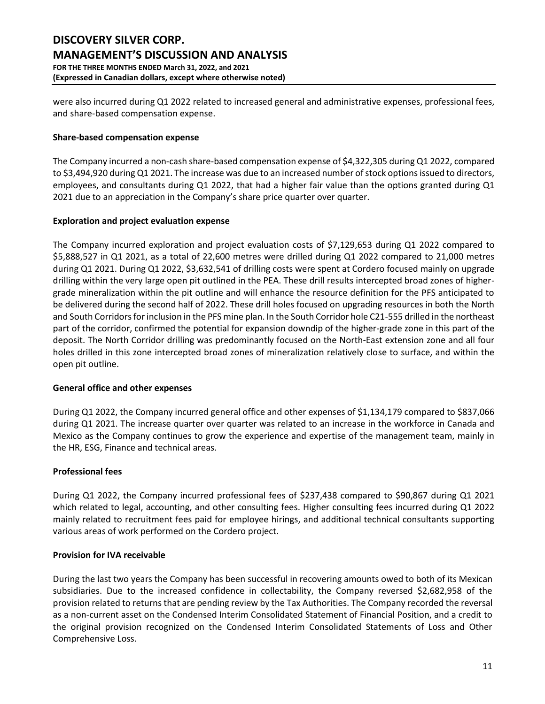were also incurred during Q1 2022 related to increased general and administrative expenses, professional fees, and share-based compensation expense.

# **Share-based compensation expense**

The Company incurred a non-cash share-based compensation expense of \$4,322,305 during Q1 2022, compared to \$3,494,920 during Q1 2021. The increase was due to an increased number of stock options issued to directors, employees, and consultants during Q1 2022, that had a higher fair value than the options granted during Q1 2021 due to an appreciation in the Company's share price quarter over quarter.

#### **Exploration and project evaluation expense**

The Company incurred exploration and project evaluation costs of \$7,129,653 during Q1 2022 compared to \$5,888,527 in Q1 2021, as a total of 22,600 metres were drilled during Q1 2022 compared to 21,000 metres during Q1 2021. During Q1 2022, \$3,632,541 of drilling costs were spent at Cordero focused mainly on upgrade drilling within the very large open pit outlined in the PEA. These drill results intercepted broad zones of highergrade mineralization within the pit outline and will enhance the resource definition for the PFS anticipated to be delivered during the second half of 2022. These drill holes focused on upgrading resources in both the North and South Corridors for inclusion in the PFS mine plan. In the South Corridor hole C21-555 drilled in the northeast part of the corridor, confirmed the potential for expansion downdip of the higher-grade zone in this part of the deposit. The North Corridor drilling was predominantly focused on the North-East extension zone and all four holes drilled in this zone intercepted broad zones of mineralization relatively close to surface, and within the open pit outline.

#### **General office and other expenses**

During Q1 2022, the Company incurred general office and other expenses of \$1,134,179 compared to \$837,066 during Q1 2021. The increase quarter over quarter was related to an increase in the workforce in Canada and Mexico as the Company continues to grow the experience and expertise of the management team, mainly in the HR, ESG, Finance and technical areas.

# **Professional fees**

During Q1 2022, the Company incurred professional fees of \$237,438 compared to \$90,867 during Q1 2021 which related to legal, accounting, and other consulting fees. Higher consulting fees incurred during Q1 2022 mainly related to recruitment fees paid for employee hirings, and additional technical consultants supporting various areas of work performed on the Cordero project.

# **Provision for IVA receivable**

During the last two years the Company has been successful in recovering amounts owed to both of its Mexican subsidiaries. Due to the increased confidence in collectability, the Company reversed \$2,682,958 of the provision related to returns that are pending review by the Tax Authorities. The Company recorded the reversal as a non-current asset on the Condensed Interim Consolidated Statement of Financial Position, and a credit to the original provision recognized on the Condensed Interim Consolidated Statements of Loss and Other Comprehensive Loss.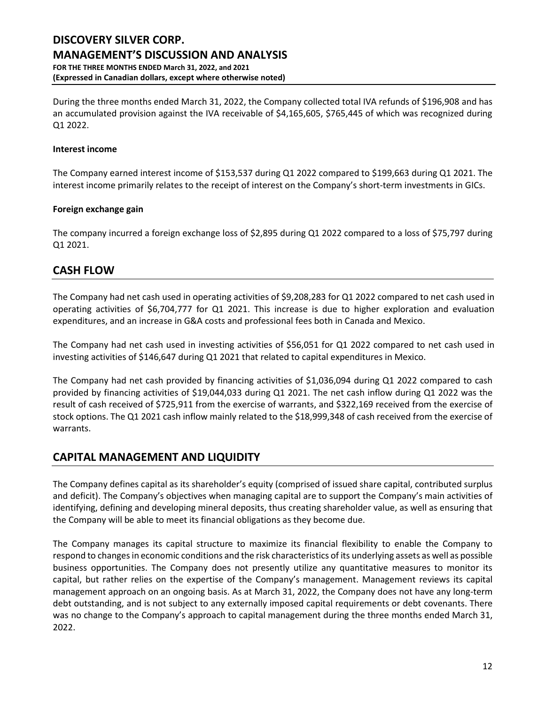During the three months ended March 31, 2022, the Company collected total IVA refunds of \$196,908 and has an accumulated provision against the IVA receivable of \$4,165,605, \$765,445 of which was recognized during Q1 2022.

# **Interest income**

The Company earned interest income of \$153,537 during Q1 2022 compared to \$199,663 during Q1 2021. The interest income primarily relates to the receipt of interest on the Company's short-term investments in GICs.

#### **Foreign exchange gain**

The company incurred a foreign exchange loss of \$2,895 during Q1 2022 compared to a loss of \$75,797 during Q1 2021.

# **CASH FLOW**

The Company had net cash used in operating activities of \$9,208,283 for Q1 2022 compared to net cash used in operating activities of \$6,704,777 for Q1 2021. This increase is due to higher exploration and evaluation expenditures, and an increase in G&A costs and professional fees both in Canada and Mexico.

The Company had net cash used in investing activities of \$56,051 for Q1 2022 compared to net cash used in investing activities of \$146,647 during Q1 2021 that related to capital expenditures in Mexico.

The Company had net cash provided by financing activities of \$1,036,094 during Q1 2022 compared to cash provided by financing activities of \$19,044,033 during Q1 2021. The net cash inflow during Q1 2022 was the result of cash received of \$725,911 from the exercise of warrants, and \$322,169 received from the exercise of stock options. The Q1 2021 cash inflow mainly related to the \$18,999,348 of cash received from the exercise of warrants.

# **CAPITAL MANAGEMENT AND LIQUIDITY**

The Company defines capital as its shareholder's equity (comprised of issued share capital, contributed surplus and deficit). The Company's objectives when managing capital are to support the Company's main activities of identifying, defining and developing mineral deposits, thus creating shareholder value, as well as ensuring that the Company will be able to meet its financial obligations as they become due.

The Company manages its capital structure to maximize its financial flexibility to enable the Company to respond to changes in economic conditions and the risk characteristics of its underlying assets as well as possible business opportunities. The Company does not presently utilize any quantitative measures to monitor its capital, but rather relies on the expertise of the Company's management. Management reviews its capital management approach on an ongoing basis. As at March 31, 2022, the Company does not have any long-term debt outstanding, and is not subject to any externally imposed capital requirements or debt covenants. There was no change to the Company's approach to capital management during the three months ended March 31, 2022.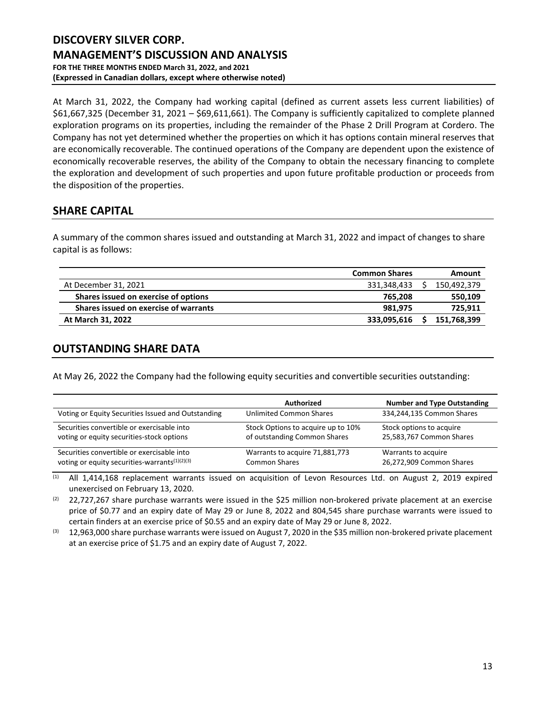At March 31, 2022, the Company had working capital (defined as current assets less current liabilities) of \$61,667,325 (December 31, 2021 – \$69,611,661). The Company is sufficiently capitalized to complete planned exploration programs on its properties, including the remainder of the Phase 2 Drill Program at Cordero. The Company has not yet determined whether the properties on which it has options contain mineral reserves that are economically recoverable. The continued operations of the Company are dependent upon the existence of economically recoverable reserves, the ability of the Company to obtain the necessary financing to complete the exploration and development of such properties and upon future profitable production or proceeds from the disposition of the properties.

# **SHARE CAPITAL**

A summary of the common shares issued and outstanding at March 31, 2022 and impact of changes to share capital is as follows:

|                                       | <b>Common Shares</b> | Amount      |
|---------------------------------------|----------------------|-------------|
| At December 31, 2021                  | 331.348.433          | 150,492,379 |
| Shares issued on exercise of options  | 765.208              | 550,109     |
| Shares issued on exercise of warrants | 981.975              | 725,911     |
| At March 31, 2022                     | 333,095,616          | 151,768,399 |

# **OUTSTANDING SHARE DATA**

At May 26, 2022 the Company had the following equity securities and convertible securities outstanding:

|                                                    | Authorized                         | <b>Number and Type Outstanding</b> |
|----------------------------------------------------|------------------------------------|------------------------------------|
| Voting or Equity Securities Issued and Outstanding | <b>Unlimited Common Shares</b>     | 334,244,135 Common Shares          |
| Securities convertible or exercisable into         | Stock Options to acquire up to 10% | Stock options to acquire           |
| voting or equity securities-stock options          | of outstanding Common Shares       | 25,583,767 Common Shares           |
| Securities convertible or exercisable into         | Warrants to acquire 71,881,773     | Warrants to acquire                |
| voting or equity securities-warrants $(1)(2)(3)$   | <b>Common Shares</b>               | 26,272,909 Common Shares           |

(1) All 1,414,168 replacement warrants issued on acquisition of Levon Resources Ltd. on August 2, 2019 expired unexercised on February 13, 2020.

 $(2)$  22,727,267 share purchase warrants were issued in the \$25 million non-brokered private placement at an exercise price of \$0.77 and an expiry date of May 29 or June 8, 2022 and 804,545 share purchase warrants were issued to certain finders at an exercise price of \$0.55 and an expiry date of May 29 or June 8, 2022.

 $(3)$  12,963,000 share purchase warrants were issued on August 7, 2020 in the \$35 million non-brokered private placement at an exercise price of \$1.75 and an expiry date of August 7, 2022.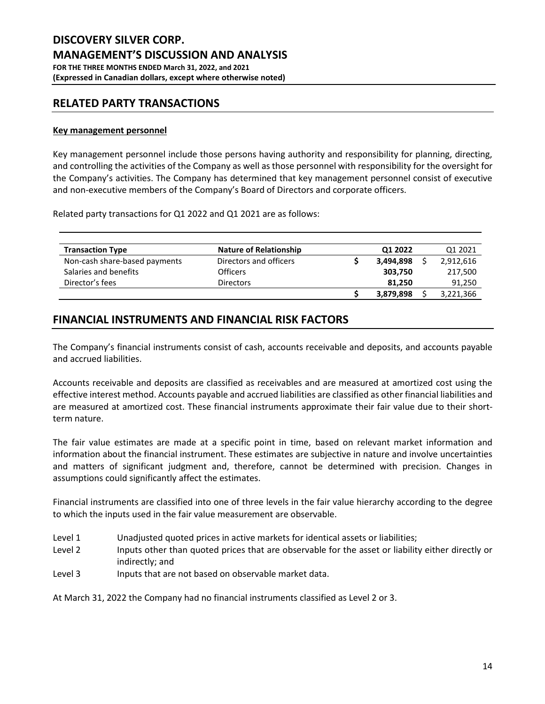# **RELATED PARTY TRANSACTIONS**

# **Key management personnel**

Key management personnel include those persons having authority and responsibility for planning, directing, and controlling the activities of the Company as well as those personnel with responsibility for the oversight for the Company's activities. The Company has determined that key management personnel consist of executive and non-executive members of the Company's Board of Directors and corporate officers.

Related party transactions for Q1 2022 and Q1 2021 are as follows:

| <b>Transaction Type</b>       | <b>Nature of Relationship</b> | Q1 2022   | Q1 2021   |
|-------------------------------|-------------------------------|-----------|-----------|
| Non-cash share-based payments | Directors and officers        | 3.494.898 | 2,912,616 |
| Salaries and benefits         | Officers                      | 303,750   | 217,500   |
| Director's fees               | <b>Directors</b>              | 81.250    | 91,250    |
|                               |                               | 3,879,898 | 3,221,366 |

# **FINANCIAL INSTRUMENTS AND FINANCIAL RISK FACTORS**

The Company's financial instruments consist of cash, accounts receivable and deposits, and accounts payable and accrued liabilities.

Accounts receivable and deposits are classified as receivables and are measured at amortized cost using the effective interest method. Accounts payable and accrued liabilities are classified as other financial liabilities and are measured at amortized cost. These financial instruments approximate their fair value due to their shortterm nature.

The fair value estimates are made at a specific point in time, based on relevant market information and information about the financial instrument. These estimates are subjective in nature and involve uncertainties and matters of significant judgment and, therefore, cannot be determined with precision. Changes in assumptions could significantly affect the estimates.

Financial instruments are classified into one of three levels in the fair value hierarchy according to the degree to which the inputs used in the fair value measurement are observable.

- Level 1 Unadjusted quoted prices in active markets for identical assets or liabilities;
- Level 2 Inputs other than quoted prices that are observable for the asset or liability either directly or indirectly; and
- Level 3 Inputs that are not based on observable market data.

At March 31, 2022 the Company had no financial instruments classified as Level 2 or 3.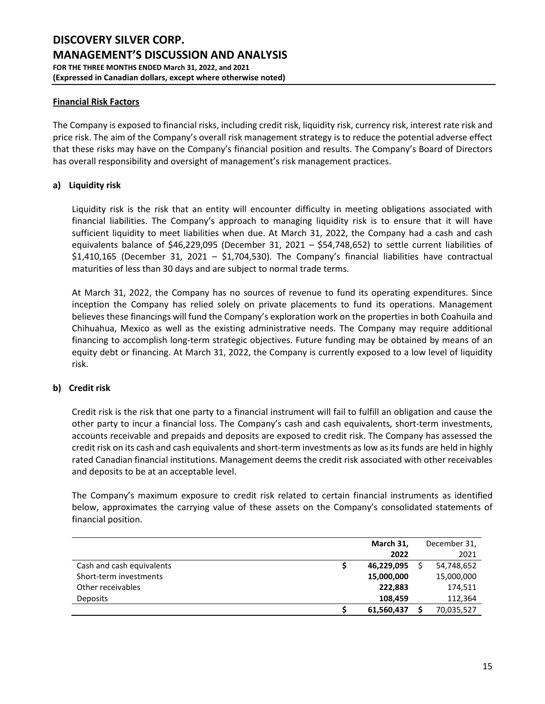### **Financial Risk Factors**

The Company is exposed to financial risks, including credit risk, liquidity risk, currency risk, interest rate risk and price risk. The aim of the Company's overall risk management strategy is to reduce the potential adverse effect that these risks may have on the Company's financial position and results. The Company's Board of Directors has overall responsibility and oversight of management's risk management practices.

# **a) Liquidity risk**

Liquidity risk is the risk that an entity will encounter difficulty in meeting obligations associated with financial liabilities. The Company's approach to managing liquidity risk is to ensure that it will have sufficient liquidity to meet liabilities when due. At March 31, 2022, the Company had a cash and cash equivalents balance of \$46,229,095 (December 31, 2021 – \$54,748,652) to settle current liabilities of \$1,410,165 (December 31, 2021 – \$1,704,530). The Company's financial liabilities have contractual maturities of less than 30 days and are subject to normal trade terms.

At March 31, 2022, the Company has no sources of revenue to fund its operating expenditures. Since inception the Company has relied solely on private placements to fund its operations. Management believes these financings will fund the Company's exploration work on the properties in both Coahuila and Chihuahua, Mexico as well as the existing administrative needs. The Company may require additional financing to accomplish long-term strategic objectives. Future funding may be obtained by means of an equity debt or financing. At March 31, 2022, the Company is currently exposed to a low level of liquidity risk.

# **b) Credit risk**

Credit risk is the risk that one party to a financial instrument will fail to fulfill an obligation and cause the other party to incur a financial loss. The Company's cash and cash equivalents, short-term investments, accounts receivable and prepaids and deposits are exposed to credit risk. The Company has assessed the credit risk on its cash and cash equivalents and short-term investments as low as its funds are held in highly rated Canadian financial institutions. Management deems the credit risk associated with other receivables and deposits to be at an acceptable level.

The Company's maximum exposure to credit risk related to certain financial instruments as identified below, approximates the carrying value of these assets on the Company's consolidated statements of financial position.

|                           | March 31,  | December 31, |
|---------------------------|------------|--------------|
|                           | 2022       | 2021         |
| Cash and cash equivalents | 46,229,095 | 54,748,652   |
| Short-term investments    | 15,000,000 | 15,000,000   |
| Other receivables         | 222,883    | 174,511      |
| Deposits                  | 108,459    | 112,364      |
|                           | 61,560,437 | 70,035,527   |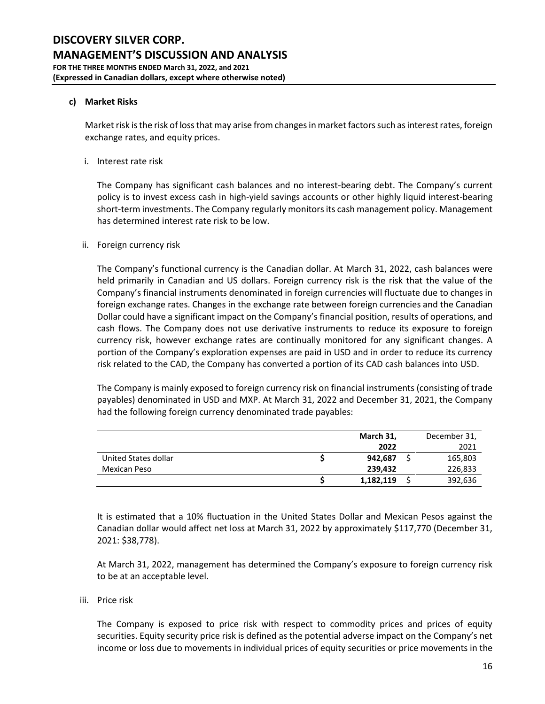# **c) Market Risks**

Market risk is the risk of loss that may arise from changes in market factors such as interest rates, foreign exchange rates, and equity prices.

i. Interest rate risk

The Company has significant cash balances and no interest-bearing debt. The Company's current policy is to invest excess cash in high-yield savings accounts or other highly liquid interest-bearing short-term investments. The Company regularly monitors its cash management policy. Management has determined interest rate risk to be low.

#### ii. Foreign currency risk

The Company's functional currency is the Canadian dollar. At March 31, 2022, cash balances were held primarily in Canadian and US dollars. Foreign currency risk is the risk that the value of the Company's financial instruments denominated in foreign currencies will fluctuate due to changes in foreign exchange rates. Changes in the exchange rate between foreign currencies and the Canadian Dollar could have a significant impact on the Company's financial position, results of operations, and cash flows. The Company does not use derivative instruments to reduce its exposure to foreign currency risk, however exchange rates are continually monitored for any significant changes. A portion of the Company's exploration expenses are paid in USD and in order to reduce its currency risk related to the CAD, the Company has converted a portion of its CAD cash balances into USD.

The Company is mainly exposed to foreign currency risk on financial instruments (consisting of trade payables) denominated in USD and MXP. At March 31, 2022 and December 31, 2021, the Company had the following foreign currency denominated trade payables:

|                      | March 31, | December 31, |
|----------------------|-----------|--------------|
|                      | 2022      | 2021         |
| United States dollar | 942,687   | 165,803      |
| Mexican Peso         | 239,432   | 226,833      |
|                      | 1,182,119 | 392,636      |

It is estimated that a 10% fluctuation in the United States Dollar and Mexican Pesos against the Canadian dollar would affect net loss at March 31, 2022 by approximately \$117,770 (December 31, 2021: \$38,778).

At March 31, 2022, management has determined the Company's exposure to foreign currency risk to be at an acceptable level.

iii. Price risk

The Company is exposed to price risk with respect to commodity prices and prices of equity securities. Equity security price risk is defined as the potential adverse impact on the Company's net income or loss due to movements in individual prices of equity securities or price movements in the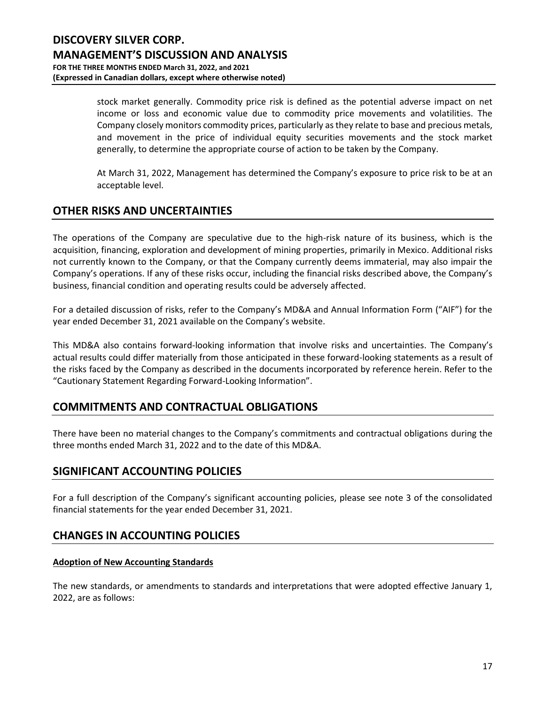stock market generally. Commodity price risk is defined as the potential adverse impact on net income or loss and economic value due to commodity price movements and volatilities. The Company closely monitors commodity prices, particularly as they relate to base and precious metals, and movement in the price of individual equity securities movements and the stock market generally, to determine the appropriate course of action to be taken by the Company.

At March 31, 2022, Management has determined the Company's exposure to price risk to be at an acceptable level.

# **OTHER RISKS AND UNCERTAINTIES**

The operations of the Company are speculative due to the high-risk nature of its business, which is the acquisition, financing, exploration and development of mining properties, primarily in Mexico. Additional risks not currently known to the Company, or that the Company currently deems immaterial, may also impair the Company's operations. If any of these risks occur, including the financial risks described above, the Company's business, financial condition and operating results could be adversely affected.

For a detailed discussion of risks, refer to the Company's MD&A and Annual Information Form ("AIF") for the year ended December 31, 2021 available on the Company's website.

This MD&A also contains forward-looking information that involve risks and uncertainties. The Company's actual results could differ materially from those anticipated in these forward-looking statements as a result of the risks faced by the Company as described in the documents incorporated by reference herein. Refer to the "Cautionary Statement Regarding Forward-Looking Information".

# **COMMITMENTS AND CONTRACTUAL OBLIGATIONS**

There have been no material changes to the Company's commitments and contractual obligations during the three months ended March 31, 2022 and to the date of this MD&A.

# **SIGNIFICANT ACCOUNTING POLICIES**

For a full description of the Company's significant accounting policies, please see note 3 of the consolidated financial statements for the year ended December 31, 2021.

# **CHANGES IN ACCOUNTING POLICIES**

# **Adoption of New Accounting Standards**

The new standards, or amendments to standards and interpretations that were adopted effective January 1, 2022, are as follows: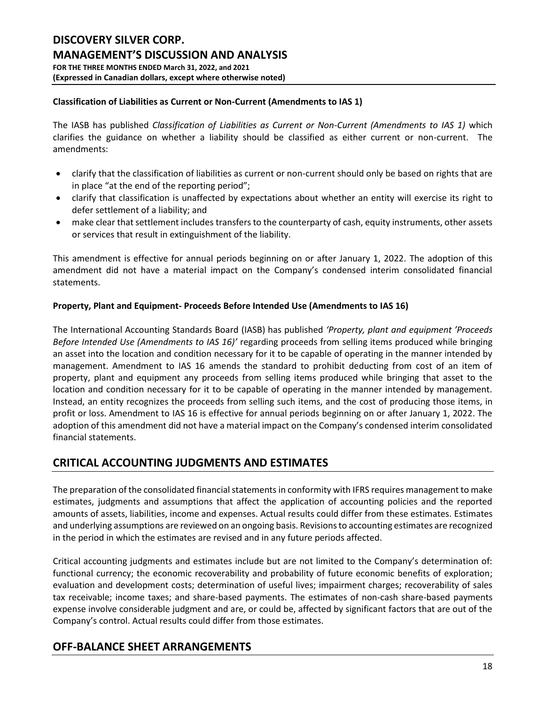# **Classification of Liabilities as Current or Non-Current (Amendments to IAS 1)**

The IASB has published *Classification of Liabilities as Current or Non-Current (Amendments to IAS 1)* which clarifies the guidance on whether a liability should be classified as either current or non-current. The amendments:

- clarify that the classification of liabilities as current or non-current should only be based on rights that are in place "at the end of the reporting period";
- clarify that classification is unaffected by expectations about whether an entity will exercise its right to defer settlement of a liability; and
- make clear that settlement includes transfers to the counterparty of cash, equity instruments, other assets or services that result in extinguishment of the liability.

This amendment is effective for annual periods beginning on or after January 1, 2022. The adoption of this amendment did not have a material impact on the Company's condensed interim consolidated financial statements.

# **Property, Plant and Equipment- Proceeds Before Intended Use (Amendments to IAS 16)**

The International Accounting Standards Board (IASB) has published *'Property, plant and equipment 'Proceeds Before Intended Use (Amendments to IAS 16)'* regarding proceeds from selling items produced while bringing an asset into the location and condition necessary for it to be capable of operating in the manner intended by management. Amendment to IAS 16 amends the standard to prohibit deducting from cost of an item of property, plant and equipment any proceeds from selling items produced while bringing that asset to the location and condition necessary for it to be capable of operating in the manner intended by management. Instead, an entity recognizes the proceeds from selling such items, and the cost of producing those items, in profit or loss. Amendment to IAS 16 is effective for annual periods beginning on or after January 1, 2022. The adoption of this amendment did not have a material impact on the Company's condensed interim consolidated financial statements.

# **CRITICAL ACCOUNTING JUDGMENTS AND ESTIMATES**

The preparation of the consolidated financial statements in conformity with IFRS requires management to make estimates, judgments and assumptions that affect the application of accounting policies and the reported amounts of assets, liabilities, income and expenses. Actual results could differ from these estimates. Estimates and underlying assumptions are reviewed on an ongoing basis. Revisions to accounting estimates are recognized in the period in which the estimates are revised and in any future periods affected.

Critical accounting judgments and estimates include but are not limited to the Company's determination of: functional currency; the economic recoverability and probability of future economic benefits of exploration; evaluation and development costs; determination of useful lives; impairment charges; recoverability of sales tax receivable; income taxes; and share-based payments. The estimates of non-cash share-based payments expense involve considerable judgment and are, or could be, affected by significant factors that are out of the Company's control. Actual results could differ from those estimates.

# **OFF-BALANCE SHEET ARRANGEMENTS**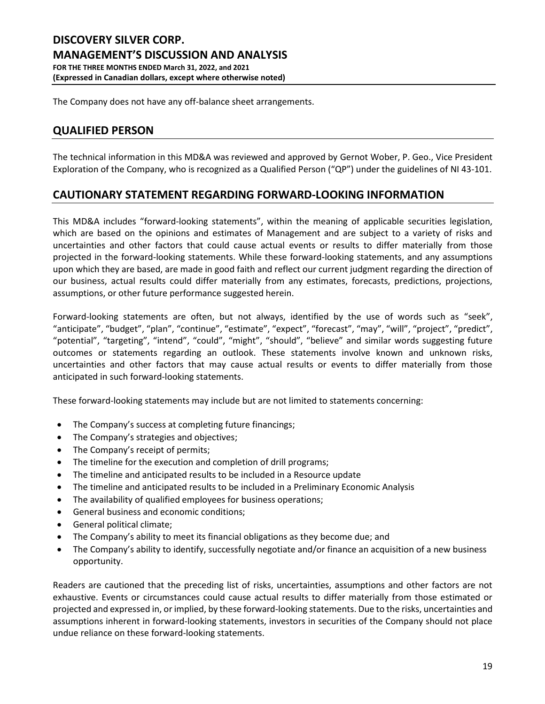The Company does not have any off-balance sheet arrangements.

# **QUALIFIED PERSON**

The technical information in this MD&A was reviewed and approved by Gernot Wober, P. Geo., Vice President Exploration of the Company, who is recognized as a Qualified Person ("QP") under the guidelines of NI 43-101.

# **CAUTIONARY STATEMENT REGARDING FORWARD-LOOKING INFORMATION**

This MD&A includes "forward‐looking statements", within the meaning of applicable securities legislation, which are based on the opinions and estimates of Management and are subject to a variety of risks and uncertainties and other factors that could cause actual events or results to differ materially from those projected in the forward-looking statements. While these forward-looking statements, and any assumptions upon which they are based, are made in good faith and reflect our current judgment regarding the direction of our business, actual results could differ materially from any estimates, forecasts, predictions, projections, assumptions, or other future performance suggested herein.

Forward-looking statements are often, but not always, identified by the use of words such as "seek", "anticipate", "budget", "plan", "continue", "estimate", "expect", "forecast", "may", "will", "project", "predict", "potential", "targeting", "intend", "could", "might", "should", "believe" and similar words suggesting future outcomes or statements regarding an outlook. These statements involve known and unknown risks, uncertainties and other factors that may cause actual results or events to differ materially from those anticipated in such forward-looking statements.

These forward-looking statements may include but are not limited to statements concerning:

- The Company's success at completing future financings;
- The Company's strategies and objectives;
- The Company's receipt of permits;
- The timeline for the execution and completion of drill programs;
- The timeline and anticipated results to be included in a Resource update
- The timeline and anticipated results to be included in a Preliminary Economic Analysis
- The availability of qualified employees for business operations;
- General business and economic conditions;
- General political climate;
- The Company's ability to meet its financial obligations as they become due; and
- The Company's ability to identify, successfully negotiate and/or finance an acquisition of a new business opportunity.

Readers are cautioned that the preceding list of risks, uncertainties, assumptions and other factors are not exhaustive. Events or circumstances could cause actual results to differ materially from those estimated or projected and expressed in, or implied, by these forward-looking statements. Due to the risks, uncertainties and assumptions inherent in forward‐looking statements, investors in securities of the Company should not place undue reliance on these forward‐looking statements.